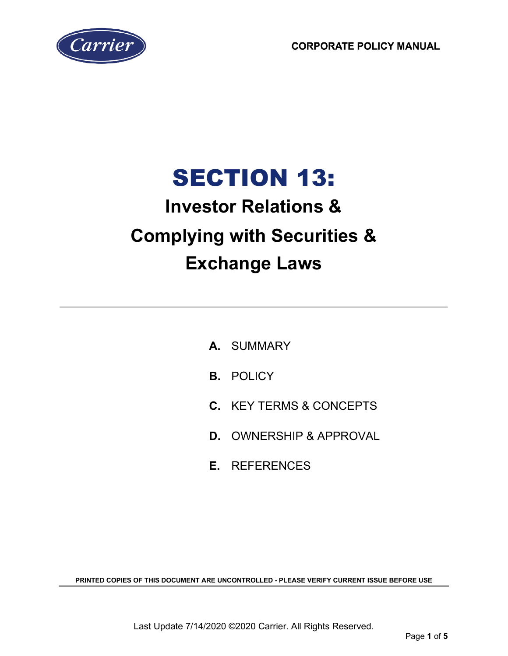**CORPORATE POLICY MANUAL** 



# SECTION 13:

## **Investor Relations & Complying with Securities & Exchange Laws**

- **A.** SUMMARY
- **B.** POLICY
- **C.** KEY TERMS & CONCEPTS
- **D.** OWNERSHIP & APPROVAL
- **E.** REFERENCES

**PRINTED COPIES OF THIS DOCUMENT ARE UNCONTROLLED - PLEASE VERIFY CURRENT ISSUE BEFORE USE**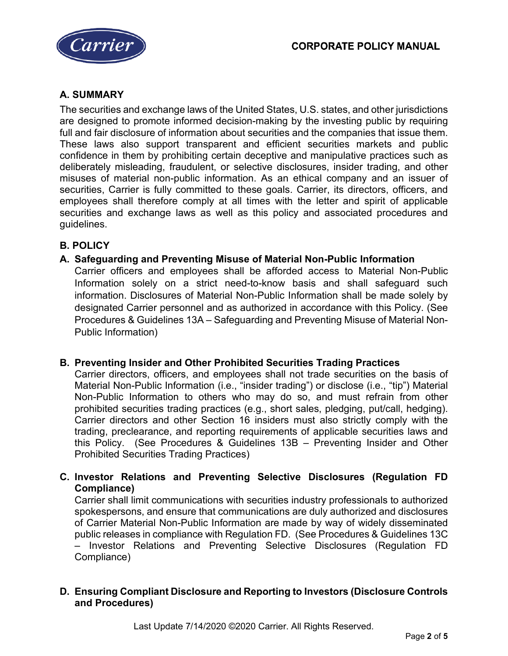

## **A. SUMMARY**

The securities and exchange laws of the United States, U.S. states, and other jurisdictions are designed to promote informed decision-making by the investing public by requiring full and fair disclosure of information about securities and the companies that issue them. These laws also support transparent and efficient securities markets and public confidence in them by prohibiting certain deceptive and manipulative practices such as deliberately misleading, fraudulent, or selective disclosures, insider trading, and other misuses of material non-public information. As an ethical company and an issuer of securities, Carrier is fully committed to these goals. Carrier, its directors, officers, and employees shall therefore comply at all times with the letter and spirit of applicable securities and exchange laws as well as this policy and associated procedures and guidelines.

## **B. POLICY**

**A. Safeguarding and Preventing Misuse of Material Non-Public Information** Carrier officers and employees shall be afforded access to Material Non-Public Information solely on a strict need-to-know basis and shall safeguard such information. Disclosures of Material Non-Public Information shall be made solely by designated Carrier personnel and as authorized in accordance with this Policy. (See Procedures & Guidelines 13A – Safeguarding and Preventing Misuse of Material Non-Public Information)

#### **B. Preventing Insider and Other Prohibited Securities Trading Practices**

Carrier directors, officers, and employees shall not trade securities on the basis of Material Non-Public Information (i.e., "insider trading") or disclose (i.e., "tip") Material Non-Public Information to others who may do so, and must refrain from other prohibited securities trading practices (e.g., short sales, pledging, put/call, hedging). Carrier directors and other Section 16 insiders must also strictly comply with the trading, preclearance, and reporting requirements of applicable securities laws and this Policy. (See Procedures & Guidelines 13B – Preventing Insider and Other Prohibited Securities Trading Practices)

**C. Investor Relations and Preventing Selective Disclosures (Regulation FD Compliance)**

Carrier shall limit communications with securities industry professionals to authorized spokespersons, and ensure that communications are duly authorized and disclosures of Carrier Material Non-Public Information are made by way of widely disseminated public releases in compliance with Regulation FD. (See Procedures & Guidelines 13C – Investor Relations and Preventing Selective Disclosures (Regulation FD Compliance)

#### **D. Ensuring Compliant Disclosure and Reporting to Investors (Disclosure Controls and Procedures)**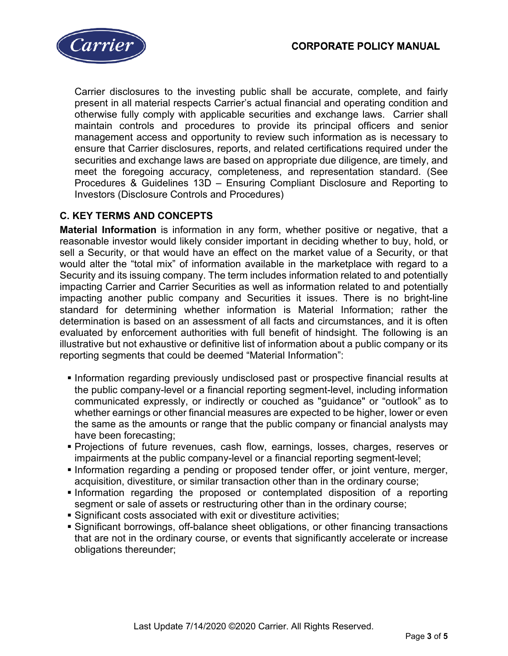

Carrier disclosures to the investing public shall be accurate, complete, and fairly present in all material respects Carrier's actual financial and operating condition and otherwise fully comply with applicable securities and exchange laws. Carrier shall maintain controls and procedures to provide its principal officers and senior management access and opportunity to review such information as is necessary to ensure that Carrier disclosures, reports, and related certifications required under the securities and exchange laws are based on appropriate due diligence, are timely, and meet the foregoing accuracy, completeness, and representation standard. (See Procedures & Guidelines 13D – Ensuring Compliant Disclosure and Reporting to Investors (Disclosure Controls and Procedures)

## **C. KEY TERMS AND CONCEPTS**

**Material Information** is information in any form, whether positive or negative, that a reasonable investor would likely consider important in deciding whether to buy, hold, or sell a Security, or that would have an effect on the market value of a Security, or that would alter the "total mix" of information available in the marketplace with regard to a Security and its issuing company. The term includes information related to and potentially impacting Carrier and Carrier Securities as well as information related to and potentially impacting another public company and Securities it issues. There is no bright-line standard for determining whether information is Material Information; rather the determination is based on an assessment of all facts and circumstances, and it is often evaluated by enforcement authorities with full benefit of hindsight. The following is an illustrative but not exhaustive or definitive list of information about a public company or its reporting segments that could be deemed "Material Information":

- **Information regarding previously undisclosed past or prospective financial results at** the public company-level or a financial reporting segment-level, including information communicated expressly, or indirectly or couched as "guidance" or "outlook" as to whether earnings or other financial measures are expected to be higher, lower or even the same as the amounts or range that the public company or financial analysts may have been forecasting;
- Projections of future revenues, cash flow, earnings, losses, charges, reserves or impairments at the public company-level or a financial reporting segment-level;
- Information regarding a pending or proposed tender offer, or joint venture, merger, acquisition, divestiture, or similar transaction other than in the ordinary course;
- Information regarding the proposed or contemplated disposition of a reporting segment or sale of assets or restructuring other than in the ordinary course;
- Significant costs associated with exit or divestiture activities;
- Significant borrowings, off-balance sheet obligations, or other financing transactions that are not in the ordinary course, or events that significantly accelerate or increase obligations thereunder;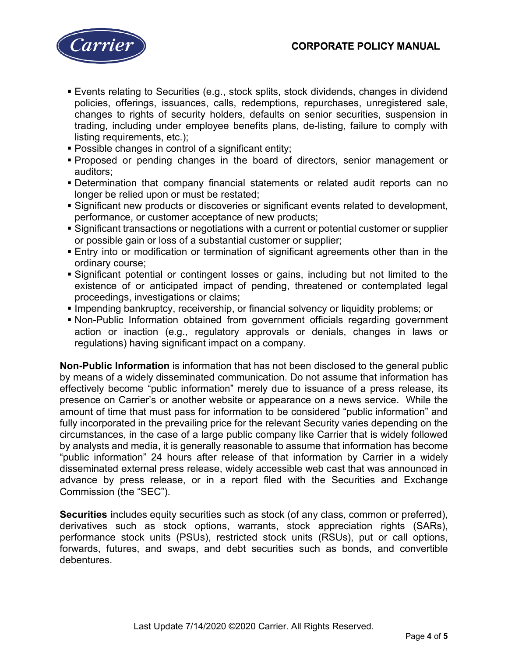

- Events relating to Securities (e.g., stock splits, stock dividends, changes in dividend policies, offerings, issuances, calls, redemptions, repurchases, unregistered sale, changes to rights of security holders, defaults on senior securities, suspension in trading, including under employee benefits plans, de-listing, failure to comply with listing requirements, etc.);
- Possible changes in control of a significant entity;
- Proposed or pending changes in the board of directors, senior management or auditors;
- Determination that company financial statements or related audit reports can no longer be relied upon or must be restated;
- Significant new products or discoveries or significant events related to development, performance, or customer acceptance of new products;
- Significant transactions or negotiations with a current or potential customer or supplier or possible gain or loss of a substantial customer or supplier;
- Entry into or modification or termination of significant agreements other than in the ordinary course;
- Significant potential or contingent losses or gains, including but not limited to the existence of or anticipated impact of pending, threatened or contemplated legal proceedings, investigations or claims;
- **Impending bankruptcy, receivership, or financial solvency or liquidity problems; or**
- Non-Public Information obtained from government officials regarding government action or inaction (e.g., regulatory approvals or denials, changes in laws or regulations) having significant impact on a company.

**Non-Public Information** is information that has not been disclosed to the general public by means of a widely disseminated communication. Do not assume that information has effectively become "public information" merely due to issuance of a press release, its presence on Carrier's or another website or appearance on a news service. While the amount of time that must pass for information to be considered "public information" and fully incorporated in the prevailing price for the relevant Security varies depending on the circumstances, in the case of a large public company like Carrier that is widely followed by analysts and media, it is generally reasonable to assume that information has become "public information" 24 hours after release of that information by Carrier in a widely disseminated external press release, widely accessible web cast that was announced in advance by press release, or in a report filed with the Securities and Exchange Commission (the "SEC").

**Securities i**ncludes equity securities such as stock (of any class, common or preferred), derivatives such as stock options, warrants, stock appreciation rights (SARs), performance stock units (PSUs), restricted stock units (RSUs), put or call options, forwards, futures, and swaps, and debt securities such as bonds, and convertible debentures.